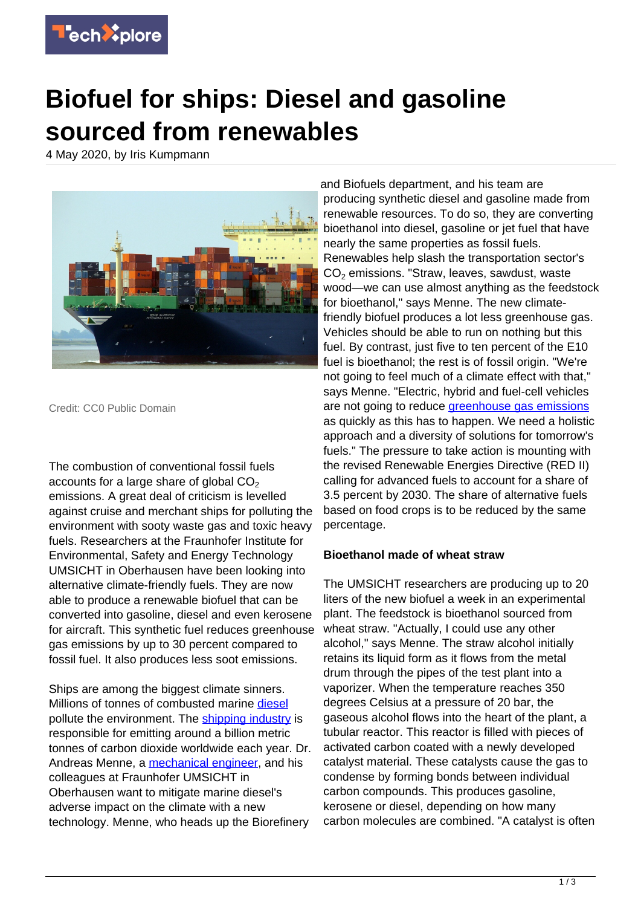

## **Biofuel for ships: Diesel and gasoline sourced from renewables**

4 May 2020, by Iris Kumpmann



Credit: CC0 Public Domain

The combustion of conventional fossil fuels accounts for a large share of global  $CO<sub>2</sub>$ emissions. A great deal of criticism is levelled against cruise and merchant ships for polluting the environment with sooty waste gas and toxic heavy fuels. Researchers at the Fraunhofer Institute for Environmental, Safety and Energy Technology UMSICHT in Oberhausen have been looking into alternative climate-friendly fuels. They are now able to produce a renewable biofuel that can be converted into gasoline, diesel and even kerosene for aircraft. This synthetic fuel reduces greenhouse gas emissions by up to 30 percent compared to fossil fuel. It also produces less soot emissions.

Ships are among the biggest climate sinners. Millions of tonnes of combusted marine [diesel](https://techxplore.com/tags/diesel/) pollute the environment. The [shipping industry](https://techxplore.com/tags/shipping+industry/) is responsible for emitting around a billion metric tonnes of carbon dioxide worldwide each year. Dr. Andreas Menne, a [mechanical engineer,](https://techxplore.com/tags/mechanical+engineer/) and his colleagues at Fraunhofer UMSICHT in Oberhausen want to mitigate marine diesel's adverse impact on the climate with a new technology. Menne, who heads up the Biorefinery

and Biofuels department, and his team are producing synthetic diesel and gasoline made from renewable resources. To do so, they are converting bioethanol into diesel, gasoline or jet fuel that have nearly the same properties as fossil fuels. Renewables help slash the transportation sector's  $CO<sub>2</sub>$  emissions. "Straw, leaves, sawdust, waste wood—we can use almost anything as the feedstock for bioethanol," says Menne. The new climatefriendly biofuel produces a lot less greenhouse gas. Vehicles should be able to run on nothing but this fuel. By contrast, just five to ten percent of the E10 fuel is bioethanol; the rest is of fossil origin. "We're not going to feel much of a climate effect with that," says Menne. "Electric, hybrid and fuel-cell vehicles are not going to reduce [greenhouse gas emissions](https://techxplore.com/tags/greenhouse+gas+emissions/) as quickly as this has to happen. We need a holistic approach and a diversity of solutions for tomorrow's fuels." The pressure to take action is mounting with the revised Renewable Energies Directive (RED II) calling for advanced fuels to account for a share of 3.5 percent by 2030. The share of alternative fuels based on food crops is to be reduced by the same percentage.

## **Bioethanol made of wheat straw**

The UMSICHT researchers are producing up to 20 liters of the new biofuel a week in an experimental plant. The feedstock is bioethanol sourced from wheat straw. "Actually, I could use any other alcohol," says Menne. The straw alcohol initially retains its liquid form as it flows from the metal drum through the pipes of the test plant into a vaporizer. When the temperature reaches 350 degrees Celsius at a pressure of 20 bar, the gaseous alcohol flows into the heart of the plant, a tubular reactor. This reactor is filled with pieces of activated carbon coated with a newly developed catalyst material. These catalysts cause the gas to condense by forming bonds between individual carbon compounds. This produces gasoline, kerosene or diesel, depending on how many carbon molecules are combined. "A catalyst is often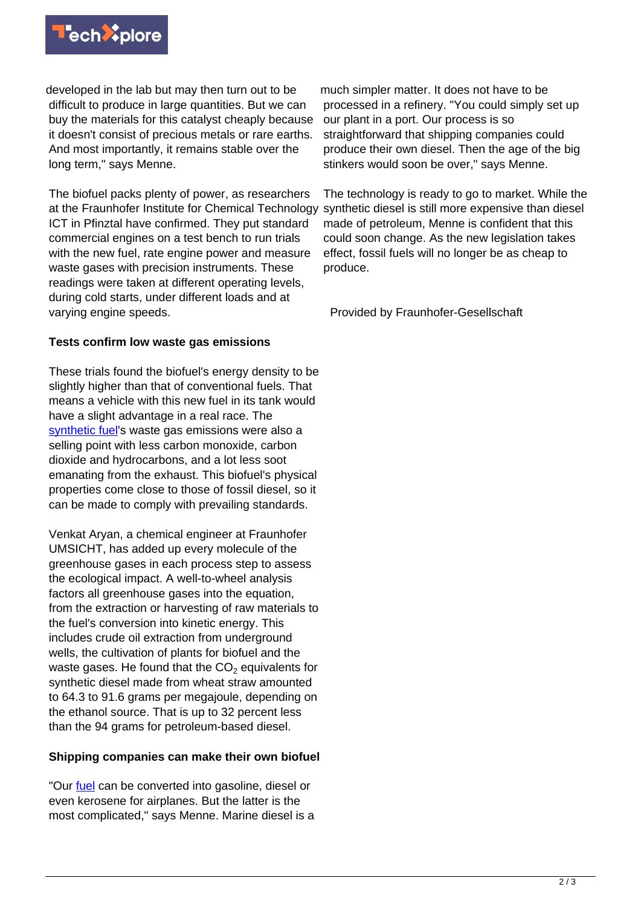

developed in the lab but may then turn out to be difficult to produce in large quantities. But we can buy the materials for this catalyst cheaply because it doesn't consist of precious metals or rare earths. And most importantly, it remains stable over the long term," says Menne.

The biofuel packs plenty of power, as researchers at the Fraunhofer Institute for Chemical Technology ICT in Pfinztal have confirmed. They put standard commercial engines on a test bench to run trials with the new fuel, rate engine power and measure waste gases with precision instruments. These readings were taken at different operating levels, during cold starts, under different loads and at varying engine speeds.

## **Tests confirm low waste gas emissions**

These trials found the biofuel's energy density to be slightly higher than that of conventional fuels. That means a vehicle with this new fuel in its tank would have a slight advantage in a real race. The [synthetic fuel](https://techxplore.com/tags/synthetic+fuel/)'s waste gas emissions were also a selling point with less carbon monoxide, carbon dioxide and hydrocarbons, and a lot less soot emanating from the exhaust. This biofuel's physical properties come close to those of fossil diesel, so it can be made to comply with prevailing standards.

Venkat Aryan, a chemical engineer at Fraunhofer UMSICHT, has added up every molecule of the greenhouse gases in each process step to assess the ecological impact. A well-to-wheel analysis factors all greenhouse gases into the equation, from the extraction or harvesting of raw materials to the fuel's conversion into kinetic energy. This includes crude oil extraction from underground wells, the cultivation of plants for biofuel and the waste gases. He found that the CO $_2$  equivalents for synthetic diesel made from wheat straw amounted to 64.3 to 91.6 grams per megajoule, depending on the ethanol source. That is up to 32 percent less than the 94 grams for petroleum-based diesel.

## **Shipping companies can make their own biofuel**

"Our [fuel](https://techxplore.com/tags/fuel/) can be converted into gasoline, diesel or even kerosene for airplanes. But the latter is the most complicated," says Menne. Marine diesel is a

much simpler matter. It does not have to be processed in a refinery. "You could simply set up our plant in a port. Our process is so straightforward that shipping companies could produce their own diesel. Then the age of the big stinkers would soon be over," says Menne.

The technology is ready to go to market. While the synthetic diesel is still more expensive than diesel made of petroleum, Menne is confident that this could soon change. As the new legislation takes effect, fossil fuels will no longer be as cheap to produce.

Provided by Fraunhofer-Gesellschaft